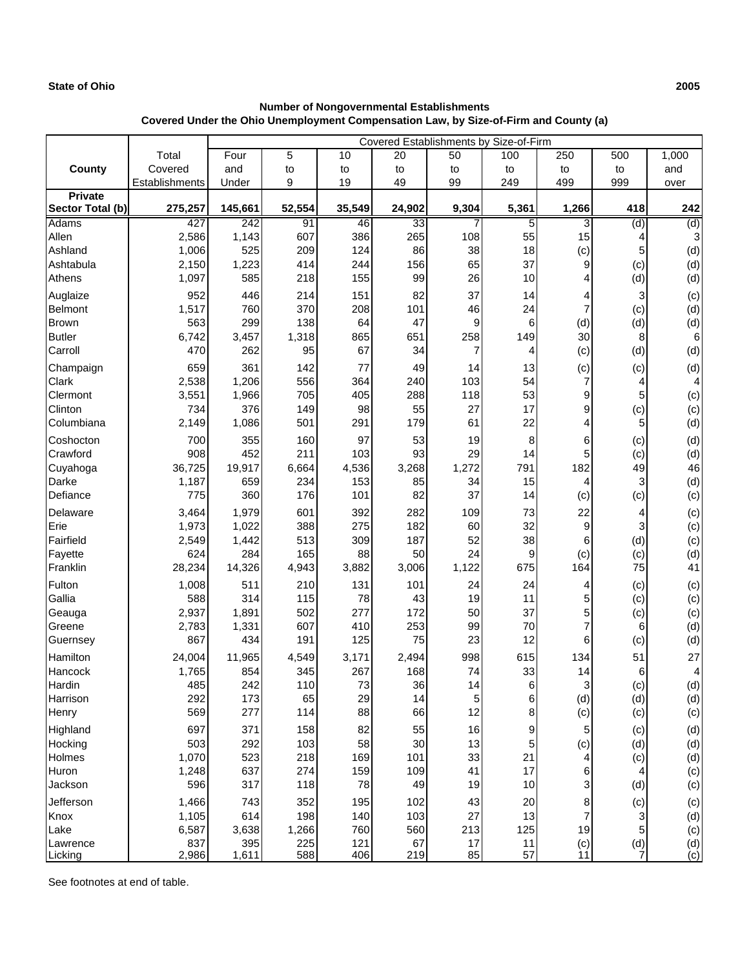## **State of Ohio 2005**

## **Number of Nongovernmental Establishments Covered Under the Ohio Unemployment Compensation Law, by Size-of-Firm and County (a)**

|                       |                | Covered Establishments by Size-of-Firm |            |            |                        |          |          |          |          |            |
|-----------------------|----------------|----------------------------------------|------------|------------|------------------------|----------|----------|----------|----------|------------|
|                       | Total          | Four                                   | 5          | 10         | 20                     | 50       | 100      | 250      | 500      | 1,000      |
| County                | Covered        | and                                    | to         | to         | to                     | to       | to       | to       | to       | and        |
|                       | Establishments | Under                                  | 9          | 19         | 49                     | 99       | 249      | 499      | 999      | over       |
| <b>Private</b>        |                |                                        |            |            |                        |          |          |          |          |            |
| Sector Total (b)      | 275,257        | 145,661                                | 52,554     | 35,549     | 24,902                 | 9,304    | 5,361    | 1,266    | 418      | 242        |
| <b>Adams</b><br>Allen | 427<br>2,586   | 242<br>1,143                           | 91<br>607  | 46<br>386  | $\overline{33}$<br>265 | 7<br>108 | 5<br>55  | 3<br>15  | (d)<br>4 | (d)<br>3   |
| Ashland               | 1,006          | 525                                    | 209        | 124        | 86                     | 38       | 18       | (c)      | 5        | (d)        |
| Ashtabula             | 2,150          | 1,223                                  | 414        | 244        | 156                    | 65       | 37       | 9        | (c)      | (d)        |
| Athens                | 1,097          | 585                                    | 218        | 155        | 99                     | 26       | 10       | 4        | (d)      | (d)        |
| Auglaize              | 952            | 446                                    | 214        | 151        | 82                     | 37       | 14       | 4        | 3        | (c)        |
| Belmont               | 1,517          | 760                                    | 370        | 208        | 101                    | 46       | 24       | 7        | (c)      | (d)        |
| <b>Brown</b>          | 563            | 299                                    | 138        | 64         | 47                     | 9        | 6        | (d)      | (d)      | (d)        |
| <b>Butler</b>         | 6,742          | 3,457                                  | 1,318      | 865        | 651                    | 258      | 149      | 30       | 8        | 6          |
| Carroll               | 470            | 262                                    | 95         | 67         | 34                     | 7        | 4        | (c)      | (d)      | (d)        |
| Champaign             | 659            | 361                                    | 142        | 77         | 49                     | 14       | 13       | (c)      | (c)      | (d)        |
| Clark                 | 2,538          | 1,206                                  | 556        | 364        | 240                    | 103      | 54       | 7        | 4        | 4          |
| Clermont              | 3,551          | 1,966                                  | 705        | 405        | 288                    | 118      | 53       | 9        | 5        | (c)        |
| Clinton               | 734            | 376                                    | 149        | 98         | 55                     | 27       | 17       | 9        | (c)      | (c)        |
| Columbiana            | 2,149          | 1,086                                  | 501        | 291        | 179                    | 61       | 22       | 4        | 5        | (d)        |
| Coshocton             | 700            | 355                                    | 160        | 97         | 53                     | 19       | $\,8\,$  | 6        | (c)      | (d)        |
| Crawford              | 908            | 452                                    | 211        | 103        | 93                     | 29       | 14       | 5        | (c)      | (d)        |
| Cuyahoga              | 36,725         | 19,917                                 | 6,664      | 4,536      | 3,268                  | 1,272    | 791      | 182      | 49       | 46         |
| Darke                 | 1,187          | 659                                    | 234        | 153        | 85                     | 34       | 15       | 4        | 3        | (d)        |
| Defiance              | 775            | 360                                    | 176        | 101        | 82                     | 37       | 14       | (c)      | (c)      | (c)        |
| Delaware              | 3,464          | 1,979                                  | 601        | 392        | 282                    | 109      | 73       | 22       | 4        | (c)        |
| Erie                  | 1,973          | 1,022                                  | 388        | 275        | 182                    | 60       | 32       | 9        | 3        | (c)        |
| Fairfield             | 2,549          | 1,442                                  | 513        | 309        | 187                    | 52       | 38       | 6        | (d)      | (c)        |
| Fayette               | 624            | 284                                    | 165        | 88         | 50                     | 24       | 9        | (c)      | (c)      | (d)        |
| Franklin              | 28,234         | 14,326                                 | 4,943      | 3,882      | 3,006                  | 1,122    | 675      | 164      | 75       | 41         |
| Fulton                | 1,008          | 511                                    | 210        | 131        | 101                    | 24       | 24       | 4        | (c)      | (c)        |
| Gallia                | 588            | 314                                    | 115        | 78         | 43                     | 19       | 11       | 5        | (c)      | (c)        |
| Geauga                | 2,937          | 1,891                                  | 502        | 277        | 172                    | 50       | 37       | 5        | (c)      | (c)        |
| Greene                | 2,783          | 1,331                                  | 607        | 410        | 253                    | 99       | 70       | 7        | 6        | (d)        |
| Guernsey              | 867            | 434                                    | 191        | 125        | 75                     | 23       | 12       | 6        | (c)      | (d)        |
| Hamilton              | 24,004         | 11,965                                 | 4,549      | 3,171      | 2,494                  | 998      | 615      | 134      | 51       | 27         |
| Hancock               | 1,765          | 854                                    | 345        | 267        | 168                    | 74       | 33       | 14       | 6        | 4          |
| Hardin                | 485            | 242                                    | 110        | 73         | 36                     | 14       | 6        | 3        | (c)      | (d)        |
| Harrison              | 292<br>569     | 173<br>277                             | 65<br>114  | 29<br>88   | 14                     | 5<br>12  | 6        | (d)      | (d)      | (d)<br>(c) |
| Henry                 |                |                                        |            |            | 66                     |          | 8        | (c)      | (c)      |            |
| Highland              | 697            | 371                                    | 158        | 82         | 55                     | 16       | 9        | 5        | (c)      | (d)        |
| Hocking<br>Holmes     | 503<br>1,070   | 292<br>523                             | 103<br>218 | 58<br>169  | 30<br>101              | 13<br>33 | 5<br>21  | (c)<br>4 | (d)      | (d)        |
| Huron                 | 1,248          | 637                                    | 274        | 159        | 109                    | 41       | 17       | 6        | (c)<br>4 | (d)<br>(c) |
| Jackson               | 596            | 317                                    | 118        | 78         | 49                     | 19       | $10$     | 3        | (d)      | (c)        |
|                       |                |                                        |            |            |                        |          |          |          |          |            |
| Jefferson<br>Knox     | 1,466<br>1,105 | 743<br>614                             | 352<br>198 | 195<br>140 | 102<br>103             | 43<br>27 | 20<br>13 | 8<br>7   | (c)      | (c)        |
| Lake                  | 6,587          | 3,638                                  | 1,266      | 760        | 560                    | 213      | 125      | 19       | 3<br>5   | (d)<br>(c) |
| Lawrence              | 837            | 395                                    | 225        | 121        | 67                     | 17       | 11       | (c)      | (d)      | (d)        |
| Licking               | 2,986          | 1,611                                  | 588        | 406        | 219                    | 85       | 57       | 11       | 7        | (c)        |

See footnotes at end of table.